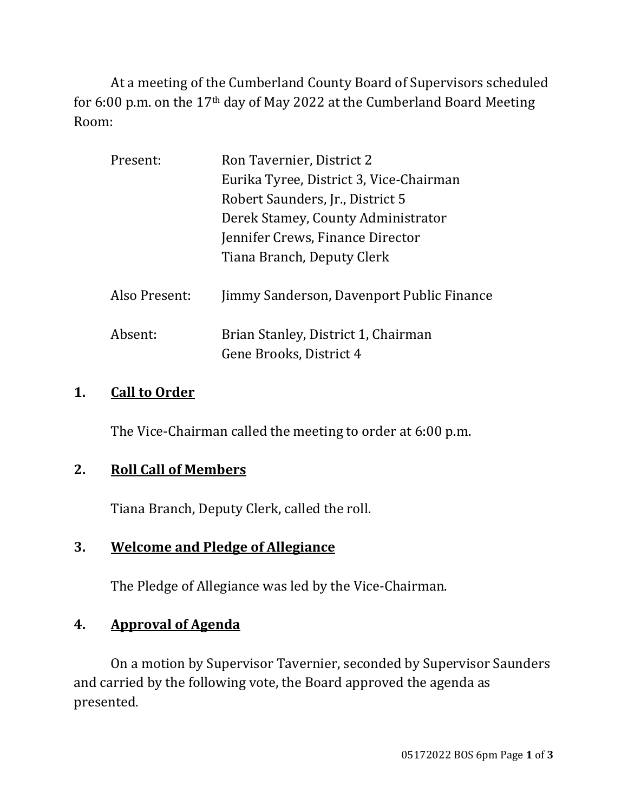At a meeting of the Cumberland County Board of Supervisors scheduled for 6:00 p.m. on the 17th day of May 2022 at the Cumberland Board Meeting Room:

| Present:      | Ron Tavernier, District 2                 |  |
|---------------|-------------------------------------------|--|
|               | Eurika Tyree, District 3, Vice-Chairman   |  |
|               | Robert Saunders, Jr., District 5          |  |
|               | Derek Stamey, County Administrator        |  |
|               | Jennifer Crews, Finance Director          |  |
|               | Tiana Branch, Deputy Clerk                |  |
|               |                                           |  |
| Also Present: | Jimmy Sanderson, Davenport Public Finance |  |
|               |                                           |  |
| Absent:       | Brian Stanley, District 1, Chairman       |  |
|               | Gene Brooks, District 4                   |  |

## **1. Call to Order**

The Vice-Chairman called the meeting to order at 6:00 p.m.

## **2. Roll Call of Members**

Tiana Branch, Deputy Clerk, called the roll.

## **3. Welcome and Pledge of Allegiance**

The Pledge of Allegiance was led by the Vice-Chairman.

# **4. Approval of Agenda**

On a motion by Supervisor Tavernier, seconded by Supervisor Saunders and carried by the following vote, the Board approved the agenda as presented.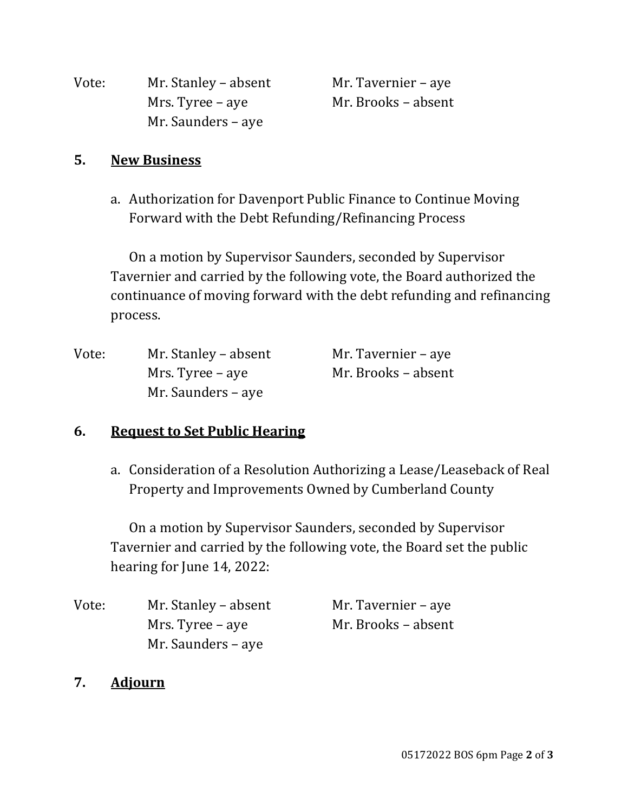| Vote: | Mr. Stanley - absent |
|-------|----------------------|
|       | Mrs. Tyree – aye     |
|       | Mr. Saunders – aye   |

Mr. Tavernier – aye Mr. Brooks – absent

## **5. New Business**

a. Authorization for Davenport Public Finance to Continue Moving Forward with the Debt Refunding/Refinancing Process

On a motion by Supervisor Saunders, seconded by Supervisor Tavernier and carried by the following vote, the Board authorized the continuance of moving forward with the debt refunding and refinancing process.

| Vote: | Mr. Stanley – absent | Mr. Tavernier – aye |
|-------|----------------------|---------------------|
|       | Mrs. Tyree – aye     | Mr. Brooks – absent |
|       | Mr. Saunders – aye   |                     |

### **6. Request to Set Public Hearing**

a. Consideration of a Resolution Authorizing a Lease/Leaseback of Real Property and Improvements Owned by Cumberland County

On a motion by Supervisor Saunders, seconded by Supervisor Tavernier and carried by the following vote, the Board set the public hearing for June 14, 2022:

| Vote: | Mr. Stanley – absent | Mr. Tavernier – aye |
|-------|----------------------|---------------------|
|       | Mrs. Tyree – aye     | Mr. Brooks – absent |
|       | Mr. Saunders – aye   |                     |

### **7. Adjourn**